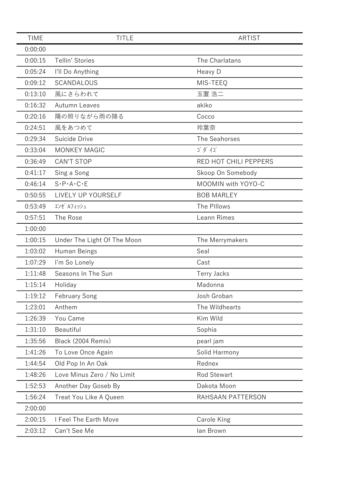| <b>TIME</b> | <b>TITLE</b>                        | <b>ARTIST</b>         |
|-------------|-------------------------------------|-----------------------|
| 0:00:00     |                                     |                       |
| 0:00:15     | Tellin' Stories                     | The Charlatans        |
| 0:05:24     | I'll Do Anything                    | Heavy D               |
| 0:09:12     | SCANDALOUS                          | MIS-TEEQ              |
| 0:13:10     | 風にさらわれて                             | 玉置 浩二                 |
| 0:16:32     | Autumn Leaves                       | akiko                 |
| 0:20:16     | 陽の照りながら雨の降る                         | Cocco                 |
| 0:24:51     | 風をあつめて                              | 玲葉奈                   |
| 0:29:34     | Suicide Drive                       | The Seahorses         |
| 0:33:04     | <b>MONKEY MAGIC</b>                 | ゴダイゴ                  |
| 0:36:49     | <b>CAN'T STOP</b>                   | RED HOT CHILI PEPPERS |
| 0:41:17     | Sing a Song                         | Skoop On Somebody     |
| 0:46:14     | $S \cdot P \cdot A \cdot C \cdot E$ | MOOMIN with YOYO-C    |
| 0:50:55     | LIVELY UP YOURSELF                  | <b>BOB MARLEY</b>     |
| 0:53:49     | エンゼ ルフィッシュ                          | The Pillows           |
| 0:57:51     | The Rose                            | Leann Rimes           |
| 1:00:00     |                                     |                       |
| 1:00:15     | Under The Light Of The Moon         | The Merrymakers       |
| 1:03:02     | Human Beings                        | Seal                  |
| 1:07:29     | I'm So Lonely                       | Cast                  |
| 1:11:48     | Seasons In The Sun                  | <b>Terry Jacks</b>    |
| 1:15:14     | Holiday                             | Madonna               |
| 1:19:12     | <b>February Song</b>                | Josh Groban           |
| 1:23:01     | Anthem                              | The Wildhearts        |
| 1:26:39     | You Came                            | Kim Wild              |
| 1:31:10     | Beautiful                           | Sophia                |
| 1:35:56     | Black (2004 Remix)                  | pearl jam             |
| 1:41:26     | To Love Once Again                  | Solid Harmony         |
| 1:44:54     | Old Pop In An Oak                   | Rednex                |
| 1:48:26     | Love Minus Zero / No Limit          | <b>Rod Stewart</b>    |
| 1:52:53     | Another Day Goseb By                | Dakota Moon           |
| 1:56:24     | Treat You Like A Queen              | RAHSAAN PATTERSON     |
| 2:00:00     |                                     |                       |
| 2:00:15     | I Feel The Earth Move               | Carole King           |
| 2:03:12     | Can't See Me                        | lan Brown             |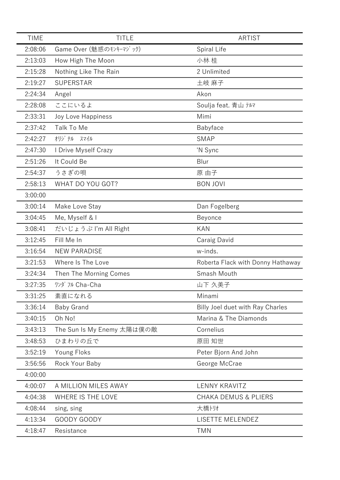| <b>TIME</b> | <b>TITLE</b>               | <b>ARTIST</b>                     |
|-------------|----------------------------|-----------------------------------|
| 2:08:06     | Game Over (魅惑のモンキーマジック)    | Spiral Life                       |
| 2:13:03     | How High The Moon          | 小林 桂                              |
| 2:15:28     | Nothing Like The Rain      | 2 Unlimited                       |
| 2:19:27     | <b>SUPERSTAR</b>           | 土岐 麻子                             |
| 2:24:34     | Angel                      | Akon                              |
| 2:28:08     | ここにいるよ                     | Soulja feat. 青山 テルマ               |
| 2:33:31     | Joy Love Happiness         | Mimi                              |
| 2:37:42     | Talk To Me                 | Babyface                          |
| 2:42:27     | オリジ ナル スマイル                | <b>SMAP</b>                       |
| 2:47:30     | I Drive Myself Crazy       | 'N Sync                           |
| 2:51:26     | It Could Be                | Blur                              |
| 2:54:37     | うさぎの唄                      | 原 由子                              |
| 2:58:13     | WHAT DO YOU GOT?           | <b>BON JOVI</b>                   |
| 3:00:00     |                            |                                   |
| 3:00:14     | Make Love Stay             | Dan Fogelberg                     |
| 3:04:45     | Me, Myself & I             | Beyonce                           |
| 3:08:41     | だいじょうぶ I'm All Right       | <b>KAN</b>                        |
| 3:12:45     | Fill Me In                 | Caraig David                      |
| 3:16:54     | <b>NEW PARADISE</b>        | w-inds.                           |
| 3:21:53     | Where Is The Love          | Roberta Flack with Donny Hathaway |
| 3:24:34     | Then The Morning Comes     | Smash Mouth                       |
| 3:27:35     | ワンダ フル Cha-Cha             | 山下 久美子                            |
| 3:31:25     | 素直になれる                     | Minami                            |
| 3:36:14     | <b>Baby Grand</b>          | Billy Joel duet with Ray Charles  |
| 3:40:15     | Oh No!                     | Marina & The Diamonds             |
| 3:43:13     | The Sun Is My Enemy 太陽は僕の敵 | Cornelius                         |
| 3:48:53     | ひまわりの丘で                    | 原田 知世                             |
| 3:52:19     | Young Floks                | Peter Bjorn And John              |
| 3:56:56     | Rock Your Baby             | George McCrae                     |
| 4:00:00     |                            |                                   |
| 4:00:07     | A MILLION MILES AWAY       | <b>LENNY KRAVITZ</b>              |
| 4:04:38     | WHERE IS THE LOVE          | <b>CHAKA DEMUS &amp; PLIERS</b>   |
| 4:08:44     | sing, sing                 | 大橋トリオ                             |
| 4:13:34     | GOODY GOODY                | LISETTE MELENDEZ                  |
| 4:18:47     | Resistance                 | <b>TMN</b>                        |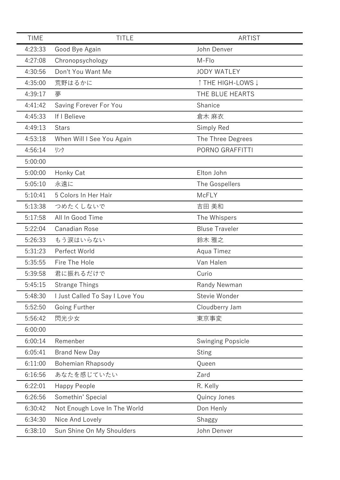| <b>TIME</b> | <b>TITLE</b>                    | <b>ARTIST</b>            |
|-------------|---------------------------------|--------------------------|
| 4:23:33     | Good Bye Again                  | John Denver              |
| 4:27:08     | Chronopsychology                | M-Flo                    |
| 4:30:56     | Don't You Want Me               | <b>JODY WATLEY</b>       |
| 4:35:00     | 荒野はるかに                          | ↑ THE HIGH-LOWS ↓        |
| 4:39:17     | 夢                               | THE BLUE HEARTS          |
| 4:41:42     | Saving Forever For You          | Shanice                  |
| 4:45:33     | If I Believe                    | 倉木 麻衣                    |
| 4:49:13     | <b>Stars</b>                    | Simply Red               |
| 4:53:18     | When Will I See You Again       | The Three Degrees        |
| 4:56:14     | リンク                             | PORNO GRAFFITTI          |
| 5:00:00     |                                 |                          |
| 5:00:00     | Honky Cat                       | Elton John               |
| 5:05:10     | 永遠に                             | The Gospellers           |
| 5:10:41     | 5 Colors In Her Hair            | McFLY                    |
| 5:13:38     | つめたくしないで                        | 吉田 美和                    |
| 5:17:58     | All In Good Time                | The Whispers             |
| 5:22:04     | Canadian Rose                   | <b>Bluse Traveler</b>    |
| 5:26:33     | もう涙はいらない                        | 鈴木 雅之                    |
| 5:31:23     | Perfect World                   | Aqua Timez               |
| 5:35:55     | Fire The Hole                   | Van Halen                |
| 5:39:58     | 君に振れるだけで                        | Curio                    |
| 5:45:15     | <b>Strange Things</b>           | Randy Newman             |
| 5:48:30     | I Just Called To Say I Love You | Stevie Wonder            |
| 5:52:50     | Going Further                   | Cloudberry Jam           |
| 5:56:42     | 閃光少女                            | 東京事変                     |
| 6:00:00     |                                 |                          |
| 6:00:14     | Remenber                        | <b>Swinging Popsicle</b> |
| 6:05:41     | <b>Brand New Day</b>            | <b>Sting</b>             |
| 6:11:00     | <b>Bohemian Rhapsody</b>        | Queen                    |
| 6:16:56     | あなたを感じていたい                      | Zard                     |
| 6:22:01     | Happy People                    | R. Kelly                 |
| 6:26:56     | Somethin' Special               | Quincy Jones             |
| 6:30:42     | Not Enough Love In The World    | Don Henly                |
| 6:34:30     | Nice And Lovely                 | Shaggy                   |
| 6:38:10     | Sun Shine On My Shoulders       | John Denver              |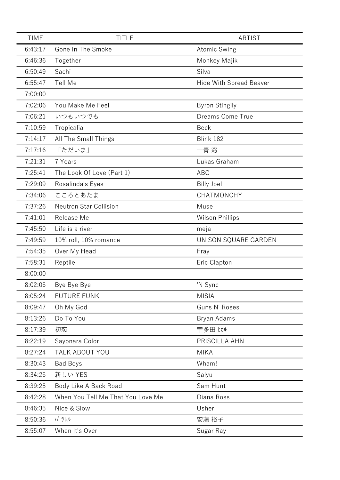| <b>TIME</b> | <b>TITLE</b>                      | <b>ARTIST</b>           |
|-------------|-----------------------------------|-------------------------|
| 6:43:17     | Gone In The Smoke                 | <b>Atomic Swing</b>     |
| 6:46:36     | Together                          | Monkey Majik            |
| 6:50:49     | Sachi                             | Silva                   |
| 6:55:47     | Tell Me                           | Hide With Spread Beaver |
| 7:00:00     |                                   |                         |
| 7:02:06     | You Make Me Feel                  | <b>Byron Stingily</b>   |
| 7:06:21     | いつもいつでも                           | Dreams Come True        |
| 7:10:59     | Tropicalia                        | <b>Beck</b>             |
| 7:14:17     | All The Small Things              | Blink 182               |
| 7:17:16     | 「ただいま」                            | 一青 窈                    |
| 7:21:31     | 7 Years                           | Lukas Graham            |
| 7:25:41     | The Look Of Love (Part 1)         | <b>ABC</b>              |
| 7:29:09     | Rosalinda's Eyes                  | <b>Billy Joel</b>       |
| 7:34:06     | こころとあたま                           | CHATMONCHY              |
| 7:37:26     | <b>Neutron Star Collision</b>     | Muse                    |
| 7:41:01     | Release Me                        | <b>Wilson Phillips</b>  |
| 7:45:50     | Life is a river                   | meja                    |
| 7:49:59     | 10% roll, 10% romance             | UNISON SQUARE GARDEN    |
| 7:54:35     | Over My Head                      | Fray                    |
| 7:58:31     | Reptile                           | Eric Clapton            |
| 8:00:00     |                                   |                         |
| 8:02:05     | Bye Bye Bye                       | 'N Sync                 |
| 8:05:24     | <b>FUTURE FUNK</b>                | <b>MISIA</b>            |
| 8:09:47     | Oh My God                         | Guns N' Roses           |
| 8:13:26     | Do To You                         | Bryan Adams             |
| 8:17:39     | 初恋                                | 宇多田 ヒカル                 |
| 8:22:19     | Sayonara Color                    | PRISCILLA AHN           |
| 8:27:24     | TALK ABOUT YOU                    | <b>MIKA</b>             |
| 8:30:43     | <b>Bad Boys</b>                   | Wham!                   |
| 8:34:25     | 新しい YES                           | Salyu                   |
| 8:39:25     | Body Like A Back Road             | Sam Hunt                |
| 8:42:28     | When You Tell Me That You Love Me | Diana Ross              |
| 8:46:35     | Nice & Slow                       | Usher                   |
| 8:50:36     | パラレル                              | 安藤 裕子                   |
| 8:55:07     | When It's Over                    | Sugar Ray               |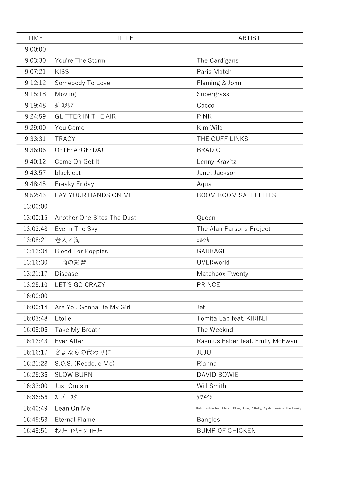| <b>TIME</b> | <b>TITLE</b>                            | <b>ARTIST</b>                                                                 |
|-------------|-----------------------------------------|-------------------------------------------------------------------------------|
| 9:00:00     |                                         |                                                                               |
| 9:03:30     | You're The Storm                        | The Cardigans                                                                 |
| 9:07:21     | <b>KISS</b>                             | Paris Match                                                                   |
| 9:12:12     | Somebody To Love                        | Fleming & John                                                                |
| 9:15:18     | Moving                                  | Supergrass                                                                    |
| 9:19:48     | ポ ロメリア                                  | Cocco                                                                         |
| 9:24:59     | <b>GLITTER IN THE AIR</b>               | <b>PINK</b>                                                                   |
| 9:29:00     | You Came                                | Kim Wild                                                                      |
| 9:33:31     | <b>TRACY</b>                            | THE CUFF LINKS                                                                |
| 9:36:06     | $O \cdot TE \cdot A \cdot GE \cdot DA!$ | <b>BRADIO</b>                                                                 |
| 9:40:12     | Come On Get It                          | Lenny Kravitz                                                                 |
| 9:43:57     | black cat                               | Janet Jackson                                                                 |
| 9:48:45     | Freaky Friday                           | Aqua                                                                          |
| 9:52:45     | LAY YOUR HANDS ON ME                    | <b>BOOM BOOM SATELLITES</b>                                                   |
| 13:00:00    |                                         |                                                                               |
| 13:00:15    | Another One Bites The Dust              | Queen                                                                         |
| 13:03:48    | Eye In The Sky                          | The Alan Parsons Project                                                      |
| 13:08:21    | 老人と海                                    | ヨルシカ                                                                          |
| 13:12:34    | <b>Blood For Poppies</b>                | GARBAGE                                                                       |
| 13:16:30    | 一滴の影響                                   | <b>UVERworld</b>                                                              |
| 13:21:17    | <b>Disease</b>                          | Matchbox Twenty                                                               |
| 13:25:10    | LET'S GO CRAZY                          | <b>PRINCE</b>                                                                 |
| 16:00:00    |                                         |                                                                               |
| 16:00:14    | Are You Gonna Be My Girl                | Jet                                                                           |
| 16:03:48    | Etoile                                  | Tomita Lab feat. KIRINJI                                                      |
| 16:09:06    | Take My Breath                          | The Weeknd                                                                    |
| 16:12:43    | Ever After                              | Rasmus Faber feat. Emily McEwan                                               |
| 16:16:17    | さよならの代わりに                               | JUJU                                                                          |
| 16:21:28    | S.O.S. (Resdcue Me)                     | Rianna                                                                        |
| 16:25:36    | <b>SLOW BURN</b>                        | DAVID BOWIE                                                                   |
| 16:33:00    | Just Cruisin'                           | Will Smith                                                                    |
| 16:36:56    | スーパースター                                 | ケツメイシ                                                                         |
| 16:40:49    | Lean On Me                              | Kirk Franklin feat. Mary J. Blige, Bono, R. Kelly, Crystal Lewis & The Family |
| 16:45:53    | <b>Eternal Flame</b>                    | <b>Bangles</b>                                                                |
| 16:49:51    | オンリー ロンリー グ ローリー                        | <b>BUMP OF CHICKEN</b>                                                        |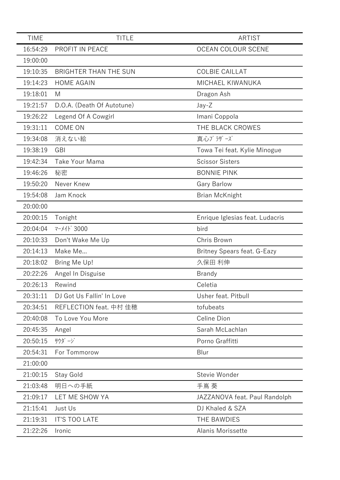| <b>TIME</b> | <b>TITLE</b>                 | <b>ARTIST</b>                   |
|-------------|------------------------------|---------------------------------|
| 16:54:29    | PROFIT IN PEACE              | <b>OCEAN COLOUR SCENE</b>       |
| 19:00:00    |                              |                                 |
| 19:10:35    | <b>BRIGHTER THAN THE SUN</b> | <b>COLBIE CAILLAT</b>           |
| 19:14:23    | <b>HOME AGAIN</b>            | MICHAEL KIWANUKA                |
| 19:18:01    | M                            | Dragon Ash                      |
| 19:21:57    | D.O.A. (Death Of Autotune)   | Jay-Z                           |
| 19:26:22    | Legend Of A Cowgirl          | Imani Coppola                   |
| 19:31:11    | COME ON                      | THE BLACK CROWES                |
| 19:34:08    | 消えない絵                        | 真心ブラザーズ                         |
| 19:38:19    | <b>GBI</b>                   | Towa Tei feat. Kylie Minogue    |
| 19:42:34    | <b>Take Your Mama</b>        | <b>Scissor Sisters</b>          |
| 19:46:26    | 秘密                           | <b>BONNIE PINK</b>              |
| 19:50:20    | Never Knew                   | <b>Gary Barlow</b>              |
| 19:54:08    | Jam Knock                    | <b>Brian McKnight</b>           |
| 20:00:00    |                              |                                 |
| 20:00:15    | Tonight                      | Enrique Iglesias feat. Ludacris |
| 20:04:04    | マーメイド 3000                   | bird                            |
| 20:10:33    | Don't Wake Me Up             | Chris Brown                     |
| 20:14:13    | Make Me                      | Britney Spears feat. G-Eazy     |
| 20:18:02    | Bring Me Up!                 | 久保田 利伸                          |
| 20:22:26    | Angel In Disguise            | <b>Brandy</b>                   |
| 20:26:13    | Rewind                       | Celetia                         |
| 20:31:11    | DJ Got Us Fallin' In Love    | Usher feat. Pitbull             |
| 20:34:51    | REFLECTION feat. 中村 佳穂       | tofubeats                       |
| 20:40:08    | To Love You More             | Celine Dion                     |
| 20:45:35    | Angel                        | Sarah McLachlan                 |
| 20:50:15    | サウダージ                        | Porno Graffitti                 |
| 20:54:31    | For Tommorow                 | Blur                            |
| 21:00:00    |                              |                                 |
| 21:00:15    | Stay Gold                    | Stevie Wonder                   |
| 21:03:48    | 明日への手紙                       | 手嶌 葵                            |
| 21:09:17    | LET ME SHOW YA               | JAZZANOVA feat. Paul Randolph   |
| 21:15:41    | Just Us                      | DJ Khaled & SZA                 |
| 21:19:31    | <b>IT'S TOO LATE</b>         | THE BAWDIES                     |
| 21:22:26    | Ironic                       | Alanis Morissette               |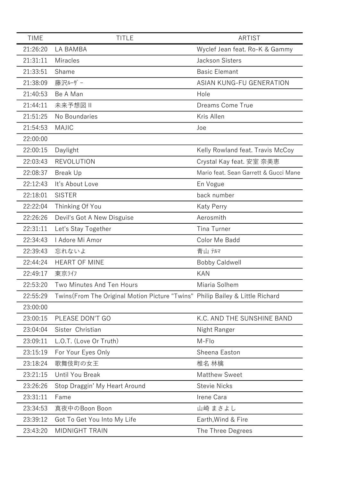| <b>TIME</b> | <b>TITLE</b>                                                                   | <b>ARTIST</b>                         |
|-------------|--------------------------------------------------------------------------------|---------------------------------------|
| 21:26:20    | LA BAMBA                                                                       | Wyclef Jean feat. Ro-K & Gammy        |
| 21:31:11    | <b>Miracles</b>                                                                | Jackson Sisters                       |
| 21:33:51    | Shame                                                                          | <b>Basic Elemant</b>                  |
| 21:38:09    | 藤沢ルザー                                                                          | ASIAN KUNG-FU GENERATION              |
| 21:40:53    | Be A Man                                                                       | Hole                                  |
| 21:44:11    | 未来予想図 II                                                                       | Dreams Come True                      |
| 21:51:25    | No Boundaries                                                                  | Kris Allen                            |
| 21:54:53    | <b>MAJIC</b>                                                                   | Joe                                   |
| 22:00:00    |                                                                                |                                       |
| 22:00:15    | Daylight                                                                       | Kelly Rowland feat. Travis McCoy      |
| 22:03:43    | <b>REVOLUTION</b>                                                              | Crystal Kay feat. 安室 奈美恵              |
| 22:08:37    | <b>Break Up</b>                                                                | Mario feat. Sean Garrett & Gucci Mane |
| 22:12:43    | It's About Love                                                                | En Vogue                              |
| 22:18:01    | <b>SISTER</b>                                                                  | back number                           |
| 22:22:04    | Thinking Of You                                                                | <b>Katy Perry</b>                     |
| 22:26:26    | Devil's Got A New Disguise                                                     | Aerosmith                             |
| 22:31:11    | Let's Stay Together                                                            | <b>Tina Turner</b>                    |
| 22:34:43    | I Adore Mi Amor                                                                | Color Me Badd                         |
| 22:39:43    | 忘れないよ                                                                          | 青山 テルマ                                |
| 22:44:24    | <b>HEART OF MINE</b>                                                           | <b>Bobby Caldwell</b>                 |
| 22:49:17    | 東京ライフ                                                                          | <b>KAN</b>                            |
| 22:53:20    | Two Minutes And Ten Hours                                                      | Miaria Solhem                         |
| 22:55:29    | Twins (From The Original Motion Picture "Twins" Philip Bailey & Little Richard |                                       |
| 23:00:00    |                                                                                |                                       |
| 23:00:15    | PLEASE DON'T GO                                                                | K.C. AND THE SUNSHINE BAND            |
| 23:04:04    | Sister Christian                                                               | Night Ranger                          |
| 23:09:11    | L.O.T. (Love Or Truth)                                                         | M-Flo                                 |
| 23:15:19    | For Your Eyes Only                                                             | Sheena Easton                         |
| 23:18:24    | 歌舞伎町の女王                                                                        | 椎名 林檎                                 |
| 23:21:15    | Until You Break                                                                | <b>Matthew Sweet</b>                  |
| 23:26:26    | Stop Draggin' My Heart Around                                                  | <b>Stevie Nicks</b>                   |
| 23:31:11    | Fame                                                                           | Irene Cara                            |
| 23:34:53    | 真夜中のBoon Boon                                                                  | 山崎 まさよし                               |
| 23:39:12    | Got To Get You Into My Life                                                    | Earth, Wind & Fire                    |
| 23:43:20    | <b>MIDNIGHT TRAIN</b>                                                          | The Three Degrees                     |